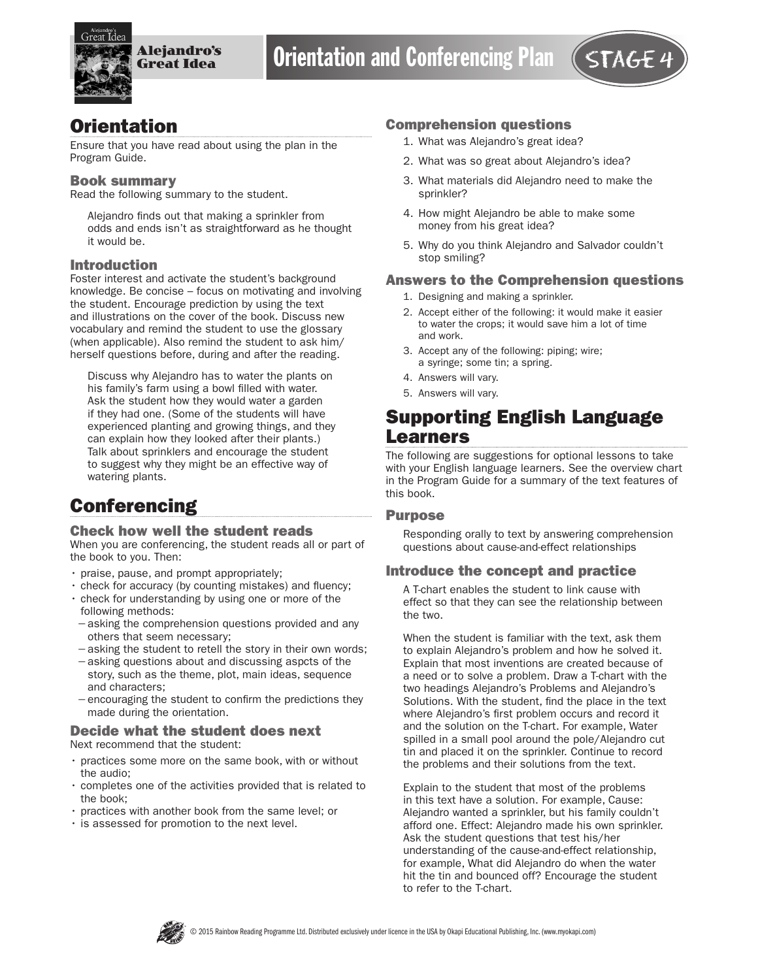

## **Orientation**

Ensure that you have read about using the plan in the Program Guide.

#### Book summary

Read the following summary to the student.

Alejandro finds out that making a sprinkler from odds and ends isn't as straightforward as he thought it would be.

#### Introduction

Foster interest and activate the student's background knowledge. Be concise – focus on motivating and involving the student. Encourage prediction by using the text and illustrations on the cover of the book. Discuss new vocabulary and remind the student to use the glossary (when applicable). Also remind the student to ask him/ herself questions before, during and after the reading.

Discuss why Alejandro has to water the plants on his family's farm using a bowl filled with water. Ask the student how they would water a garden if they had one. (Some of the students will have experienced planting and growing things, and they can explain how they looked after their plants.) Talk about sprinklers and encourage the student to suggest why they might be an effective way of watering plants.

# **Conferencing**

#### Check how well the student reads

When you are conferencing, the student reads all or part of the book to you. Then:

- praise, pause, and prompt appropriately;
- check for accuracy (by counting mistakes) and fluency;
- check for understanding by using one or more of the following methods:
- −asking the comprehension questions provided and any others that seem necessary;
- −asking the student to retell the story in their own words; −asking questions about and discussing aspcts of the
- story, such as the theme, plot, main ideas, sequence and characters;
- −encouraging the student to confirm the predictions they made during the orientation.

#### Decide what the student does next Next recommend that the student:

- practices some more on the same book, with or without the audio;
- completes one of the activities provided that is related to the book;
- practices with another book from the same level; or
- is assessed for promotion to the next level.

#### Comprehension questions

- 1. What was Alejandro's great idea?
- 2. What was so great about Alejandro's idea?
- 3. What materials did Alejandro need to make the sprinkler?
- 4. How might Alejandro be able to make some money from his great idea?
- 5. Why do you think Alejandro and Salvador couldn't stop smiling?

#### Answers to the Comprehension questions

- 1. Designing and making a sprinkler.
- 2. Accept either of the following: it would make it easier to water the crops; it would save him a lot of time and work.
- 3. Accept any of the following: piping; wire; a syringe; some tin; a spring.
- 4. Answers will vary.
- 5. Answers will vary.

## Supporting English Language Learners

The following are suggestions for optional lessons to take with your English language learners. See the overview chart in the Program Guide for a summary of the text features of this book.

#### Purpose

Responding orally to text by answering comprehension questions about cause-and-effect relationships

#### Introduce the concept and practice

A T-chart enables the student to link cause with effect so that they can see the relationship between the two.

When the student is familiar with the text, ask them to explain Alejandro's problem and how he solved it. Explain that most inventions are created because of a need or to solve a problem. Draw a T-chart with the two headings Alejandro's Problems and Alejandro's Solutions. With the student, find the place in the text where Alejandro's first problem occurs and record it and the solution on the T-chart. For example, Water spilled in a small pool around the pole/Alejandro cut tin and placed it on the sprinkler. Continue to record the problems and their solutions from the text.

Explain to the student that most of the problems in this text have a solution. For example, Cause: Alejandro wanted a sprinkler, but his family couldn't afford one. Effect: Alejandro made his own sprinkler. Ask the student questions that test his/her understanding of the cause-and-effect relationship, for example, What did Alejandro do when the water hit the tin and bounced off? Encourage the student to refer to the T-chart.

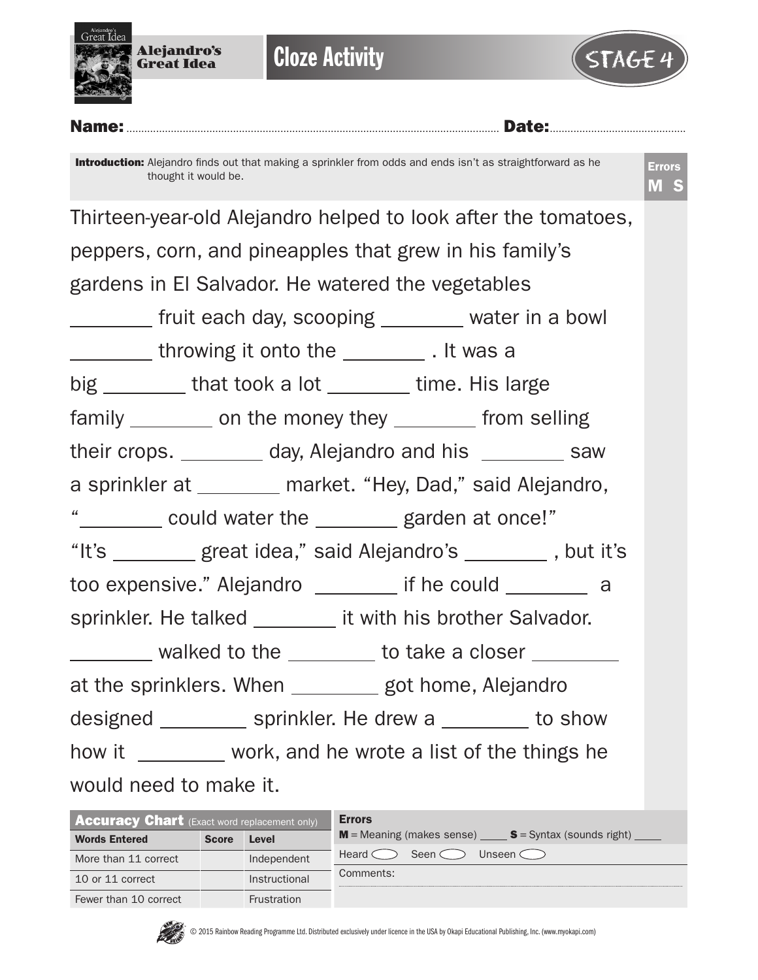



Name:.............................................................................................................................. Date:..............................................

Introduction: Alejandro finds out that making a sprinkler from odds and ends isn't as straightforward as he thought it would be.

| Thirteen-year-old Alejandro helped to look after the tomatoes, |  |  |  |  |  |
|----------------------------------------------------------------|--|--|--|--|--|
| peppers, corn, and pineapples that grew in his family's        |  |  |  |  |  |
| gardens in El Salvador. He watered the vegetables              |  |  |  |  |  |
| ________ fruit each day, scooping _______ water in a bowl      |  |  |  |  |  |
| __________ throwing it onto the ___________ . It was a         |  |  |  |  |  |
| big ________ that took a lot _______ time. His large           |  |  |  |  |  |
| family _________ on the money they ________ from selling       |  |  |  |  |  |
| their crops. _________ day, Alejandro and his ________ saw     |  |  |  |  |  |
| a sprinkler at ________ market. "Hey, Dad," said Alejandro,    |  |  |  |  |  |
| " could water the ______ garden at once!"                      |  |  |  |  |  |
| "It's ________ great idea," said Alejandro's _______, but it's |  |  |  |  |  |
| too expensive." Alejandro ________ if he could ________ a      |  |  |  |  |  |
| sprinkler. He talked ________ it with his brother Salvador.    |  |  |  |  |  |
| _________ walked to the ________ to take a closer ________     |  |  |  |  |  |
| at the sprinklers. When _________ got home, Alejandro          |  |  |  |  |  |
| designed ___________ sprinkler. He drew a _________ to show    |  |  |  |  |  |
| how it ________ work, and he wrote a list of the things he     |  |  |  |  |  |
| would need to make it.                                         |  |  |  |  |  |

| <b>Accuracy Chart</b> (Exact word replacement only) |              |               | <b>Errors</b>                                                                     |  |  |  |  |  |  |
|-----------------------------------------------------|--------------|---------------|-----------------------------------------------------------------------------------|--|--|--|--|--|--|
| <b>Words Entered</b>                                | <b>Score</b> | Level         | $M$ = Meaning (makes sense) $S =$ Syntax (sounds right) $\frac{1}{1-\frac{1}{2}}$ |  |  |  |  |  |  |
| More than 11 correct                                |              | Independent   | Seen $\subset$<br>Unseen $\subset$ $\supset$<br>Heard $\subset$                   |  |  |  |  |  |  |
| 10 or 11 correct                                    |              | Instructional | Comments:                                                                         |  |  |  |  |  |  |
| Fewer than 10 correct                               |              | Frustration   |                                                                                   |  |  |  |  |  |  |

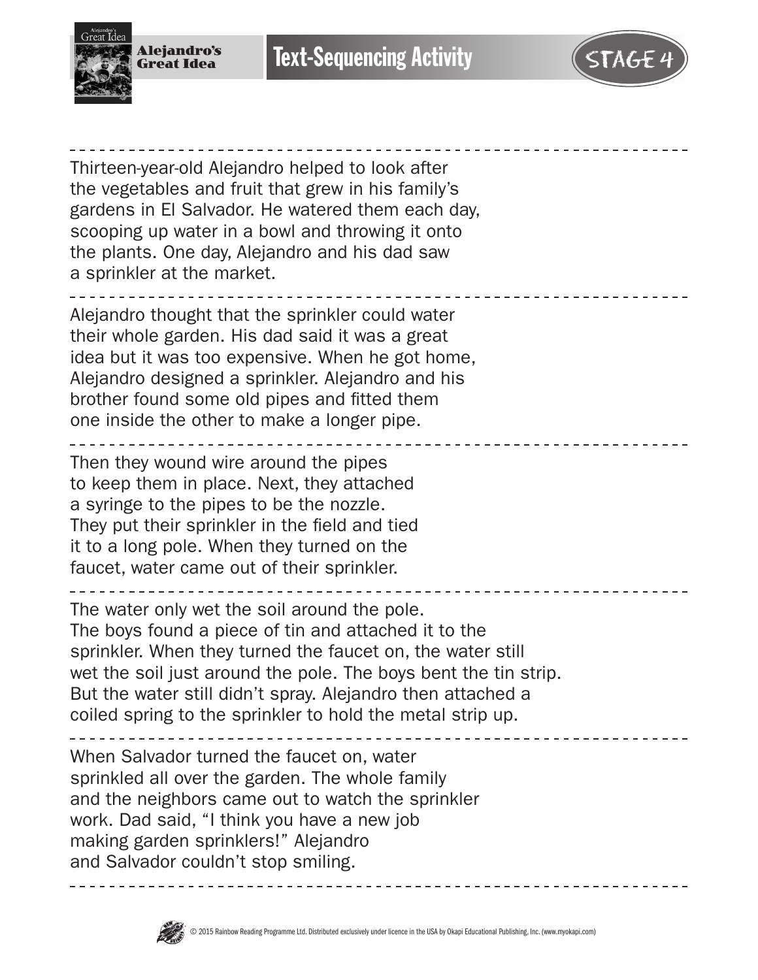



Thirteen-year-old Alejandro helped to look after the vegetables and fruit that grew in his family's gardens in El Salvador. He watered them each day, scooping up water in a bowl and throwing it onto the plants. One day, Alejandro and his dad saw a sprinkler at the market.

Alejandro thought that the sprinkler could water their whole garden. His dad said it was a great idea but it was too expensive. When he got home, Alejandro designed a sprinkler. Alejandro and his brother found some old pipes and fitted them one inside the other to make a longer pipe.

Then they wound wire around the pipes to keep them in place. Next, they attached a syringe to the pipes to be the nozzle. They put their sprinkler in the field and tied it to a long pole. When they turned on the faucet, water came out of their sprinkler.

The water only wet the soil around the pole. The boys found a piece of tin and attached it to the sprinkler. When they turned the faucet on, the water still wet the soil just around the pole. The boys bent the tin strip. But the water still didn't spray. Alejandro then attached a coiled spring to the sprinkler to hold the metal strip up.

When Salvador turned the faucet on, water sprinkled all over the garden. The whole family and the neighbors came out to watch the sprinkler work. Dad said, "I think you have a new job making garden sprinklers!" Alejandro and Salvador couldn't stop smiling.

<u>. . . . . . . . .</u>

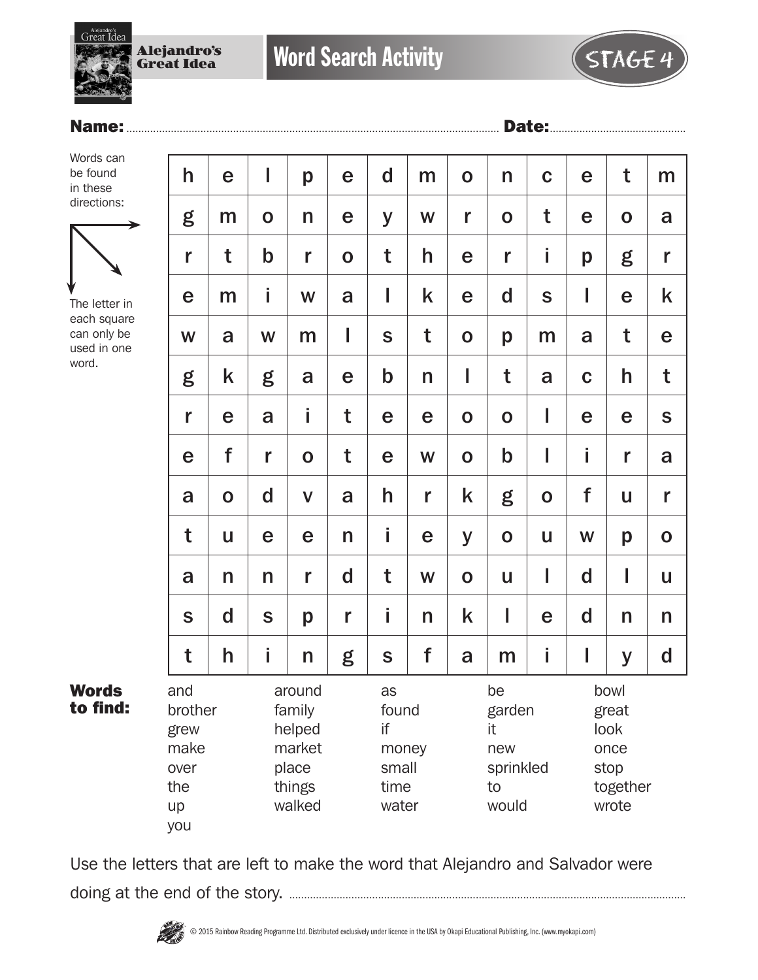

### Name:.............................................................................................................................. Date:..............................................

Words can be found in these directions:



The letter in each square can only be used in one word.

Words to find:

| h                                                          | e            | I                                                                 | p           | e           | $\mathbf d$                                          | m | $\mathbf 0$ | n                                                     | $\mathbf C$ | e           | t                                                          | m            |  |
|------------------------------------------------------------|--------------|-------------------------------------------------------------------|-------------|-------------|------------------------------------------------------|---|-------------|-------------------------------------------------------|-------------|-------------|------------------------------------------------------------|--------------|--|
| g                                                          | m            | $\mathbf 0$                                                       | n           | e           | y                                                    | W | r           | $\mathbf 0$                                           | t           | e           | $\mathbf 0$                                                | a            |  |
| r                                                          | t            | $\mathbf b$                                                       | r           | $\mathbf 0$ | t                                                    | h | e           | r                                                     | i           | p           | g                                                          | r            |  |
| e                                                          | m            | i                                                                 | W           | a           | I                                                    | k | e           | $\mathbf d$                                           | $\mathbf S$ | I           | e                                                          | k            |  |
| W                                                          | a            | W                                                                 | m           | I           | $\mathbf S$                                          | t | $\mathbf O$ | p                                                     | m           | a           | t                                                          | e            |  |
| g                                                          | k            | g                                                                 | a           | e           | $\mathbf b$                                          | n | I           | t                                                     | a           | $\mathbf C$ | h                                                          | t            |  |
| r                                                          | e            | a                                                                 | i           | t           | e                                                    | e | $\mathbf 0$ | $\mathbf 0$                                           | I           | e           | e                                                          | S            |  |
| e                                                          | f            | r                                                                 | $\mathbf O$ | t           | e                                                    | W | $\mathbf O$ | $\mathbf b$                                           | I           | İ.          | r                                                          | a            |  |
| a                                                          | $\mathbf 0$  | $\mathbf d$                                                       | $\mathbf V$ | a           | h                                                    | r | k           | g                                                     | $\mathbf 0$ | f           | U                                                          | r            |  |
| t                                                          | $\mathbf{u}$ | e                                                                 | e           | n           | i                                                    | e | y           | $\mathbf 0$                                           | U           | W           | p                                                          | $\mathbf 0$  |  |
| a                                                          | n            | n                                                                 | r           | d           | t                                                    | W | $\mathbf 0$ | U                                                     | I           | d           | I                                                          | $\mathbf{u}$ |  |
| S                                                          | $\mathbf d$  | $\mathbf S$                                                       | p           | r           | i                                                    | n | k           | I                                                     | e           | d           | n                                                          | n            |  |
| t                                                          | h            | İ                                                                 | n           | g           | S                                                    | f | a           | m                                                     | İ.          | L           | y                                                          | d            |  |
| and<br>brother<br>grew<br>make<br>over<br>the<br>up<br>you |              | around<br>family<br>helped<br>market<br>place<br>things<br>walked |             |             | as<br>found<br>if<br>money<br>small<br>time<br>water |   |             | be<br>garden<br>it<br>new<br>sprinkled<br>to<br>would |             |             | bowl<br>great<br>look<br>once<br>stop<br>together<br>wrote |              |  |

Use the letters that are left to make the word that Alejandro and Salvador were doing at the end of the story. ......................................................................................................................................

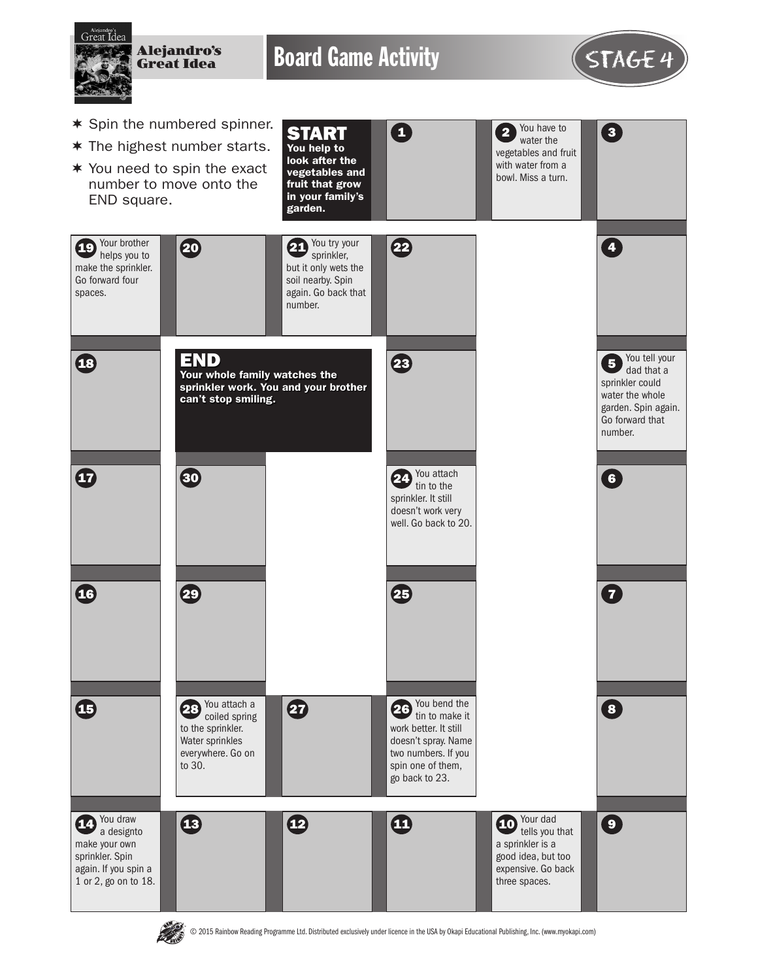

E SS

© 2015 Rainbow Reading Programme Ltd. Distributed exclusively under licence in the USA by Okapi Educational Publishing, Inc. (www.myokapi.com)